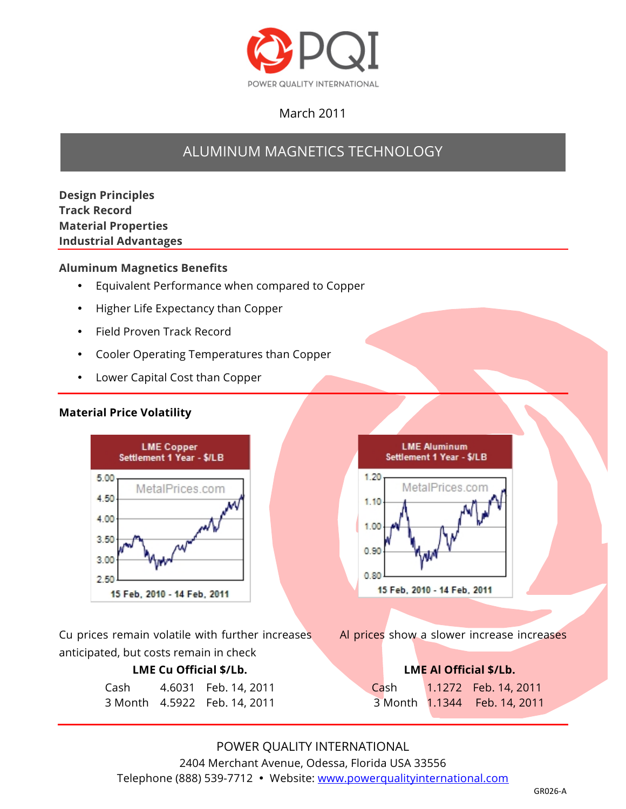

# March 2011

# ALUMINUM MAGNETICS TECHNOLOGY

**Design Principles Track Record Material Properties Industrial Advantages**

#### **Aluminum Magnetics Benefits**

- Equivalent Performance when compared to Copper
- Higher Life Expectancy than Copper
- Field Proven Track Record
- Cooler Operating Temperatures than Copper
- Lower Capital Cost than Copper

#### **Material Price Volatility**



Cu prices remain volatile with further increases Al prices show a slower increase increases anticipated, but costs remain in check

| Cash | 4.6031 Feb. 14, 2011         |
|------|------------------------------|
|      | 3 Month 4.5922 Feb. 14, 2011 |



## **LME Cu Official \$/Lb. LME Al Official \$/Lb.** Cash 1.1272 Feb. 14, 2011 3 Month 1.1344 Feb. 14, 2011

POWER QUALITY INTERNATIONAL 2404 Merchant Avenue, Odessa, Florida USA 33556 Telephone (888) 539-7712 • Website: www.powerqualityinternational.com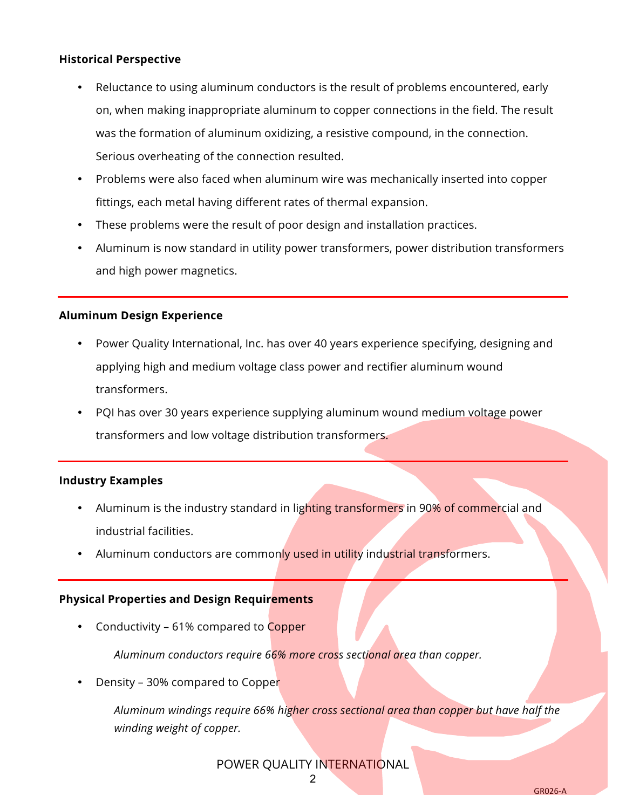#### **Historical Perspective**

- Reluctance to using aluminum conductors is the result of problems encountered, early on, when making inappropriate aluminum to copper connections in the field. The result was the formation of aluminum oxidizing, a resistive compound, in the connection. Serious overheating of the connection resulted.
- Problems were also faced when aluminum wire was mechanically inserted into copper fittings, each metal having different rates of thermal expansion.
- These problems were the result of poor design and installation practices.
- Aluminum is now standard in utility power transformers, power distribution transformers and high power magnetics.

#### **Aluminum Design Experience**

- Power Quality International, Inc. has over 40 years experience specifying, designing and applying high and medium voltage class power and rectifier aluminum wound transformers.
- PQI has over 30 years experience supplying aluminum wound medium voltage power transformers and low voltage distribution transformers.

#### **Industry Examples**

- Aluminum is the industry standard in lighting transformers in 90% of commercial and industrial facilities.
- Aluminum conductors are commonly used in utility industrial transformers.

#### **Physical Properties and Design Requirements**

• Conductivity – 61% compared to Copper

*Aluminum conductors require 66% more cross sectional area than copper.*

• Density - 30% compared to Copper

*Aluminum windings require 66% higher cross sectional area than copper but have half the winding weight of copper.*

POWER QUALITY INTERNATIONAL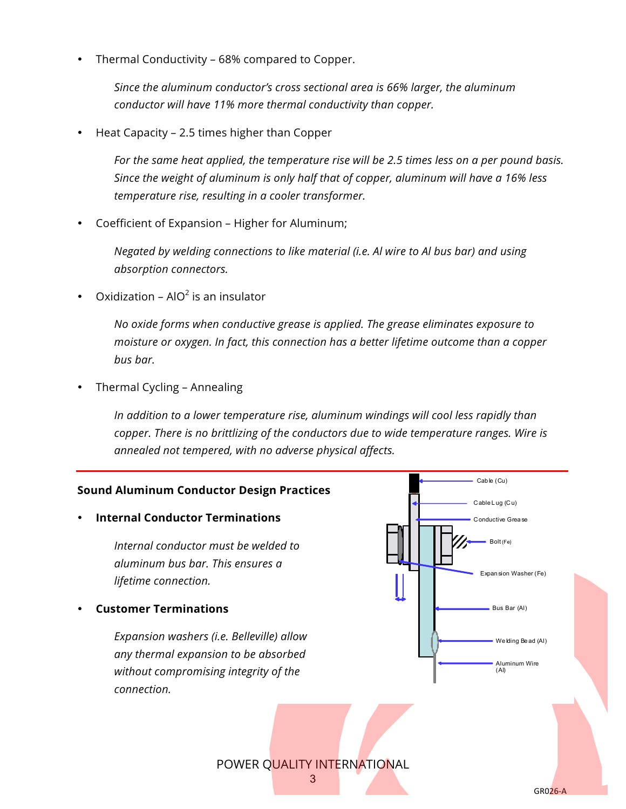• Thermal Conductivity – 68% compared to Copper.

*Since the aluminum conductor's cross sectional area is 66% larger, the aluminum conductor will have 11% more thermal conductivity than copper.*

• Heat Capacity – 2.5 times higher than Copper

*For the same heat applied, the temperature rise will be 2.5 times less on a per pound basis. Since the weight of aluminum is only half that of copper, aluminum will have a 16% less temperature rise, resulting in a cooler transformer.*

• Coefficient of Expansion – Higher for Aluminum;

*Negated by welding connections to like material (i.e. Al wire to Al bus bar) and using absorption connectors.*

Oxidization –  $AIO<sup>2</sup>$  is an insulator

*No oxide forms when conductive grease is applied. The grease eliminates exposure to moisture or oxygen. In fact, this connection has a better lifetime outcome than a copper bus bar.*

• Thermal Cycling – Annealing

*In addition to a lower temperature rise, aluminum windings will cool less rapidly than copper. There is no brittlizing of the conductors due to wide temperature ranges. Wire is annealed not tempered, with no adverse physical affects.*